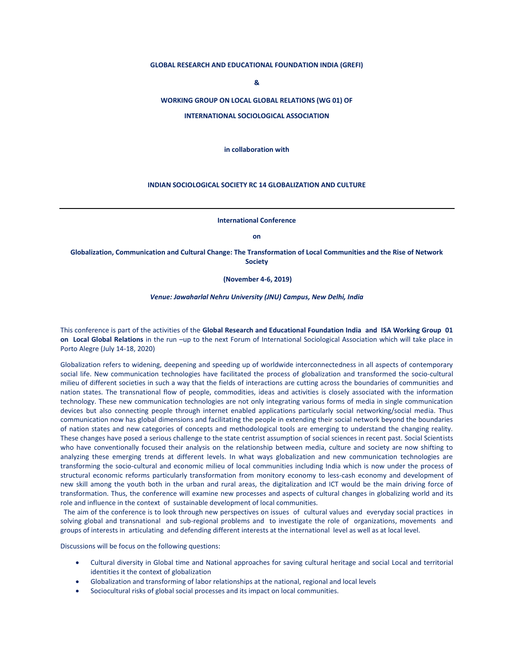## **GLOBAL RESEARCH AND EDUCATIONAL FOUNDATION INDIA (GREFI)**

**&**

### **WORKING GROUP ON LOCAL GLOBAL RELATIONS (WG 01) OF**

**INTERNATIONAL SOCIOLOGICAL ASSOCIATION** 

**in collaboration with**

## **INDIAN SOCIOLOGICAL SOCIETY RC 14 GLOBALIZATION AND CULTURE**

**International Conference** 

**on**

**Globalization, Communication and Cultural Change: The Transformation of Local Communities and the Rise of Network Society**

**(November 4-6, 2019)**

*Venue: Jawaharlal Nehru University (JNU) Campus, New Delhi, India*

This conference is part of the activities of the **Global Research and Educational Foundation India and ISA Working Group 01 on Local Global Relations** in the run –up to the next Forum of International Sociological Association which will take place in Porto Alegre (July 14-18, 2020)

Globalization refers to widening, deepening and speeding up of worldwide interconnectedness in all aspects of contemporary social life. New communication technologies have facilitated the process of globalization and transformed the socio-cultural milieu of different societies in such a way that the fields of interactions are cutting across the boundaries of communities and nation states. The transnational flow of people, commodities, ideas and activities is closely associated with the information technology. These new communication technologies are not only integrating various forms of media in single communication devices but also connecting people through internet enabled applications particularly social networking/social media. Thus communication now has global dimensions and facilitating the people in extending their social network beyond the boundaries of nation states and new categories of concepts and methodological tools are emerging to understand the changing reality. These changes have posed a serious challenge to the state centrist assumption of social sciences in recent past. Social Scientists who have conventionally focused their analysis on the relationship between media, culture and society are now shifting to analyzing these emerging trends at different levels. In what ways globalization and new communication technologies are transforming the socio-cultural and economic milieu of local communities including India which is now under the process of structural economic reforms particularly transformation from monitory economy to less-cash economy and development of new skill among the youth both in the urban and rural areas, the digitalization and ICT would be the main driving force of transformation. Thus, the conference will examine new processes and aspects of cultural changes in globalizing world and its role and influence in the context of sustainable development of local communities.

 The aim of the conference is to look through new perspectives on issues of cultural values and everyday social practices in solving global and transnational and sub-regional problems and to investigate the role of organizations, movements and groups of interests in articulating and defending different interests at the international level as well as at local level.

Discussions will be focus on the following questions:

- Cultural diversity in Global time and National approaches for saving cultural heritage and social Local and territorial identities it the context of globalization
- Globalization and transforming of labor relationships at the national, regional and local levels
- Sociocultural risks of global social processes and its impact on local communities.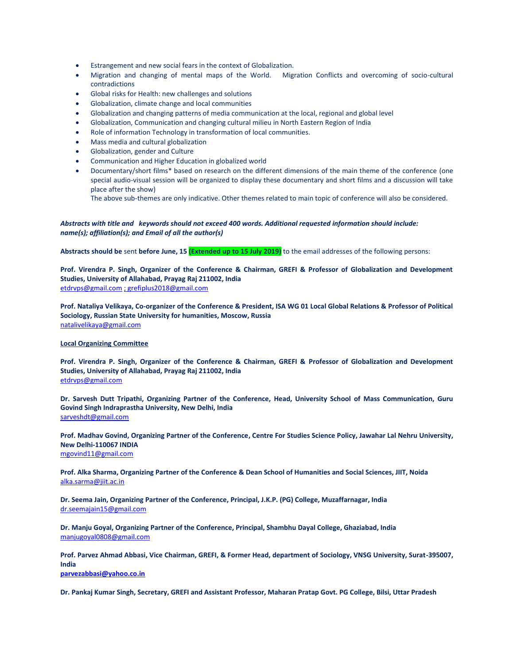- Estrangement and new social fears in the context of Globalization.
- Migration and changing of mental maps of the World. Migration Conflicts and overcoming of socio-cultural contradictions
- Global risks for Health: new challenges and solutions
- Globalization, climate change and local communities
- Globalization and changing patterns of media communication at the local, regional and global level
- Globalization, Communication and changing cultural milieu in North Eastern Region of India
- Role of information Technology in transformation of local communities.
- Mass media and cultural globalization
- Globalization, gender and Culture
- Communication and Higher Education in globalized world
- Documentary/short films\* based on research on the different dimensions of the main theme of the conference (one special audio-visual session will be organized to display these documentary and short films and a discussion will take place after the show)

The above sub-themes are only indicative. Other themes related to main topic of conference will also be considered.

# *Abstracts with title and keywords should not exceed 400 words. Additional requested information should include: name(s); affiliation(s); and Email of all the author(s)*

**Abstracts should be** sent **before June, 15 (Extended up to 15 July 2019)** to the email addresses of the following persons:

**Prof. Virendra P. Singh, Organizer of the Conference & Chairman, GREFI & Professor of Globalization and Development Studies, University of Allahabad, Prayag Raj 211002, India** [etdrvps@gmail.com](mailto:etdrvps@gmail.com) [; grefiplus2018@gmail.com](mailto:grefiplus2018@gmail.com)

**Prof. Nataliya Velikaya, Co-organizer of the Conference & President, ISA WG 01 Local Global Relations & Professor of Political Sociology, Russian State University for humanities, Moscow, Russia** [natalivelikaya@gmail.com](mailto:natalivelikaya@gmail.com) 

### **Local Organizing Committee**

**Prof. Virendra P. Singh, Organizer of the Conference & Chairman, GREFI & Professor of Globalization and Development Studies, University of Allahabad, Prayag Raj 211002, India** [etdrvps@gmail.com](mailto:etdrvps@gmail.com)

**Dr. Sarvesh Dutt Tripathi, Organizing Partner of the Conference, Head, University School of Mass Communication, Guru Govind Singh Indraprastha University, New Delhi, India** [sarveshdt@gmail.com](mailto:sarveshdt@gmail.com)

**Prof. Madhav Govind, Organizing Partner of the Conference, Centre For Studies Science Policy, Jawahar Lal Nehru University, New Delhi-110067 INDIA** [mgovind11@gmail.com](mailto:mgovind11@gmail.com) 

**Prof. Alka Sharma, Organizing Partner of the Conference & Dean School of Humanities and Social Sciences, JIIT, Noida**  [alka.sarma@jiit.ac.in](mailto:alka.sarma@jiit.ac.in)

**Dr. Seema Jain, Organizing Partner of the Conference, Principal, J.K.P. (PG) College, Muzaffarnagar, India** [dr.seemajain15@gmail.com](mailto:dr.seemajain15@gmail.com)

**Dr. Manju Goyal, Organizing Partner of the Conference, Principal, Shambhu Dayal College, Ghaziabad, India** [manjugoyal0808@gmail.com](mailto:manjugoyal0808@gmail.com)

**Prof. Parvez Ahmad Abbasi, Vice Chairman, GREFI, & Former Head, department of Sociology, VNSG University, Surat-395007, India**

**[parvezabbasi@yahoo.co.in](mailto:parvezabbasi@yahoo.co.in)**

**Dr. Pankaj Kumar Singh, Secretary, GREFI and Assistant Professor, Maharan Pratap Govt. PG College, Bilsi, Uttar Pradesh**